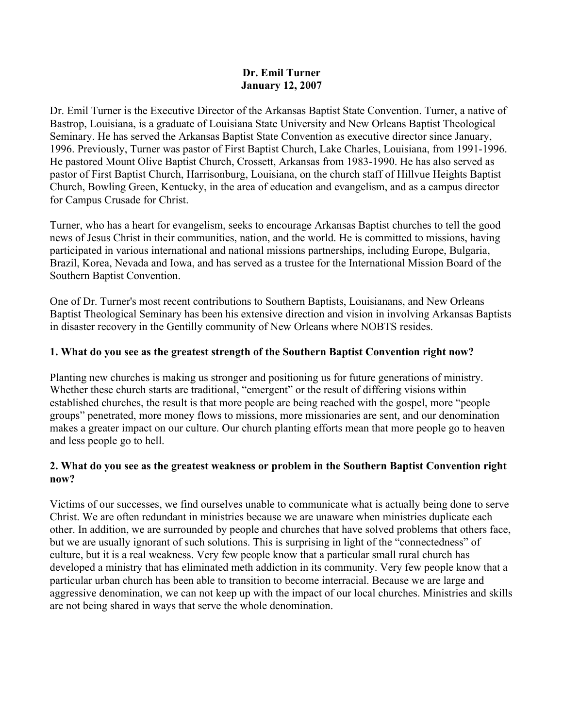#### **Dr. Emil Turner January 12, 2007**

Dr. Emil Turner is the Executive Director of the Arkansas Baptist State Convention. Turner, a native of Bastrop, Louisiana, is a graduate of Louisiana State University and New Orleans Baptist Theological Seminary. He has served the Arkansas Baptist State Convention as executive director since January, 1996. Previously, Turner was pastor of First Baptist Church, Lake Charles, Louisiana, from 1991-1996. He pastored Mount Olive Baptist Church, Crossett, Arkansas from 1983-1990. He has also served as pastor of First Baptist Church, Harrisonburg, Louisiana, on the church staff of Hillvue Heights Baptist Church, Bowling Green, Kentucky, in the area of education and evangelism, and as a campus director for Campus Crusade for Christ.

Turner, who has a heart for evangelism, seeks to encourage Arkansas Baptist churches to tell the good news of Jesus Christ in their communities, nation, and the world. He is committed to missions, having participated in various international and national missions partnerships, including Europe, Bulgaria, Brazil, Korea, Nevada and Iowa, and has served as a trustee for the International Mission Board of the Southern Baptist Convention.

One of Dr. Turner's most recent contributions to Southern Baptists, Louisianans, and New Orleans Baptist Theological Seminary has been his extensive direction and vision in involving Arkansas Baptists in disaster recovery in the Gentilly community of New Orleans where NOBTS resides.

# **1. What do you see as the greatest strength of the Southern Baptist Convention right now?**

Planting new churches is making us stronger and positioning us for future generations of ministry. Whether these church starts are traditional, "emergent" or the result of differing visions within established churches, the result is that more people are being reached with the gospel, more "people groups" penetrated, more money flows to missions, more missionaries are sent, and our denomination makes a greater impact on our culture. Our church planting efforts mean that more people go to heaven and less people go to hell.

# **2. What do you see as the greatest weakness or problem in the Southern Baptist Convention right now?**

Victims of our successes, we find ourselves unable to communicate what is actually being done to serve Christ. We are often redundant in ministries because we are unaware when ministries duplicate each other. In addition, we are surrounded by people and churches that have solved problems that others face, but we are usually ignorant of such solutions. This is surprising in light of the "connectedness" of culture, but it is a real weakness. Very few people know that a particular small rural church has developed a ministry that has eliminated meth addiction in its community. Very few people know that a particular urban church has been able to transition to become interracial. Because we are large and aggressive denomination, we can not keep up with the impact of our local churches. Ministries and skills are not being shared in ways that serve the whole denomination.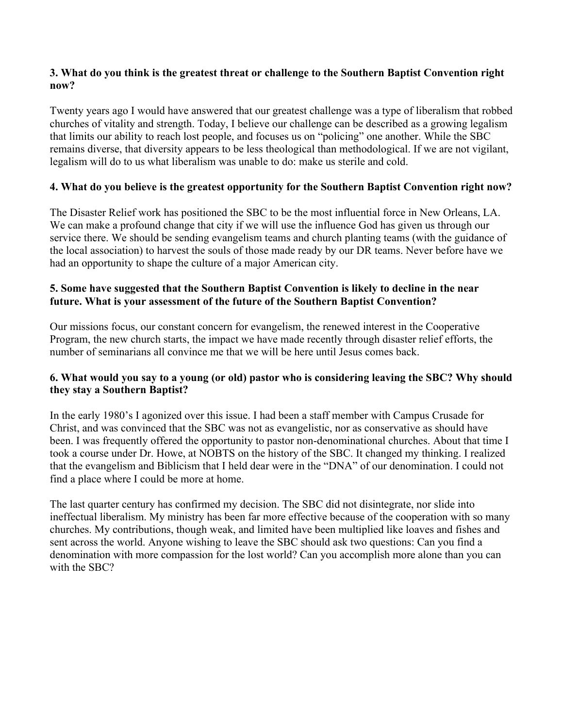# **3. What do you think is the greatest threat or challenge to the Southern Baptist Convention right now?**

Twenty years ago I would have answered that our greatest challenge was a type of liberalism that robbed churches of vitality and strength. Today, I believe our challenge can be described as a growing legalism that limits our ability to reach lost people, and focuses us on "policing" one another. While the SBC remains diverse, that diversity appears to be less theological than methodological. If we are not vigilant, legalism will do to us what liberalism was unable to do: make us sterile and cold.

# **4. What do you believe is the greatest opportunity for the Southern Baptist Convention right now?**

The Disaster Relief work has positioned the SBC to be the most influential force in New Orleans, LA. We can make a profound change that city if we will use the influence God has given us through our service there. We should be sending evangelism teams and church planting teams (with the guidance of the local association) to harvest the souls of those made ready by our DR teams. Never before have we had an opportunity to shape the culture of a major American city.

# **5. Some have suggested that the Southern Baptist Convention is likely to decline in the near future. What is your assessment of the future of the Southern Baptist Convention?**

Our missions focus, our constant concern for evangelism, the renewed interest in the Cooperative Program, the new church starts, the impact we have made recently through disaster relief efforts, the number of seminarians all convince me that we will be here until Jesus comes back.

# **6. What would you say to a young (or old) pastor who is considering leaving the SBC? Why should they stay a Southern Baptist?**

In the early 1980's I agonized over this issue. I had been a staff member with Campus Crusade for Christ, and was convinced that the SBC was not as evangelistic, nor as conservative as should have been. I was frequently offered the opportunity to pastor non-denominational churches. About that time I took a course under Dr. Howe, at NOBTS on the history of the SBC. It changed my thinking. I realized that the evangelism and Biblicism that I held dear were in the "DNA" of our denomination. I could not find a place where I could be more at home.

The last quarter century has confirmed my decision. The SBC did not disintegrate, nor slide into ineffectual liberalism. My ministry has been far more effective because of the cooperation with so many churches. My contributions, though weak, and limited have been multiplied like loaves and fishes and sent across the world. Anyone wishing to leave the SBC should ask two questions: Can you find a denomination with more compassion for the lost world? Can you accomplish more alone than you can with the SBC?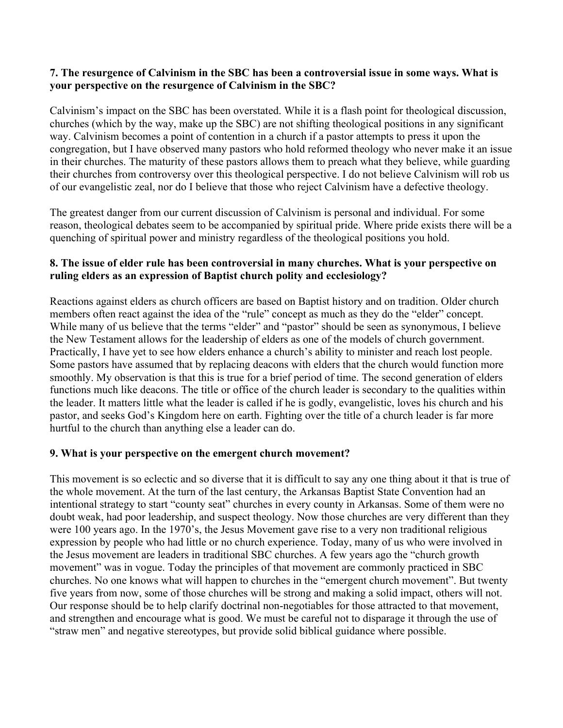#### **7. The resurgence of Calvinism in the SBC has been a controversial issue in some ways. What is your perspective on the resurgence of Calvinism in the SBC?**

Calvinism's impact on the SBC has been overstated. While it is a flash point for theological discussion, churches (which by the way, make up the SBC) are not shifting theological positions in any significant way. Calvinism becomes a point of contention in a church if a pastor attempts to press it upon the congregation, but I have observed many pastors who hold reformed theology who never make it an issue in their churches. The maturity of these pastors allows them to preach what they believe, while guarding their churches from controversy over this theological perspective. I do not believe Calvinism will rob us of our evangelistic zeal, nor do I believe that those who reject Calvinism have a defective theology.

The greatest danger from our current discussion of Calvinism is personal and individual. For some reason, theological debates seem to be accompanied by spiritual pride. Where pride exists there will be a quenching of spiritual power and ministry regardless of the theological positions you hold.

#### **8. The issue of elder rule has been controversial in many churches. What is your perspective on ruling elders as an expression of Baptist church polity and ecclesiology?**

Reactions against elders as church officers are based on Baptist history and on tradition. Older church members often react against the idea of the "rule" concept as much as they do the "elder" concept. While many of us believe that the terms "elder" and "pastor" should be seen as synonymous, I believe the New Testament allows for the leadership of elders as one of the models of church government. Practically, I have yet to see how elders enhance a church's ability to minister and reach lost people. Some pastors have assumed that by replacing deacons with elders that the church would function more smoothly. My observation is that this is true for a brief period of time. The second generation of elders functions much like deacons. The title or office of the church leader is secondary to the qualities within the leader. It matters little what the leader is called if he is godly, evangelistic, loves his church and his pastor, and seeks God's Kingdom here on earth. Fighting over the title of a church leader is far more hurtful to the church than anything else a leader can do.

# **9. What is your perspective on the emergent church movement?**

This movement is so eclectic and so diverse that it is difficult to say any one thing about it that is true of the whole movement. At the turn of the last century, the Arkansas Baptist State Convention had an intentional strategy to start "county seat" churches in every county in Arkansas. Some of them were no doubt weak, had poor leadership, and suspect theology. Now those churches are very different than they were 100 years ago. In the 1970's, the Jesus Movement gave rise to a very non traditional religious expression by people who had little or no church experience. Today, many of us who were involved in the Jesus movement are leaders in traditional SBC churches. A few years ago the "church growth movement" was in vogue. Today the principles of that movement are commonly practiced in SBC churches. No one knows what will happen to churches in the "emergent church movement". But twenty five years from now, some of those churches will be strong and making a solid impact, others will not. Our response should be to help clarify doctrinal non-negotiables for those attracted to that movement, and strengthen and encourage what is good. We must be careful not to disparage it through the use of "straw men" and negative stereotypes, but provide solid biblical guidance where possible.